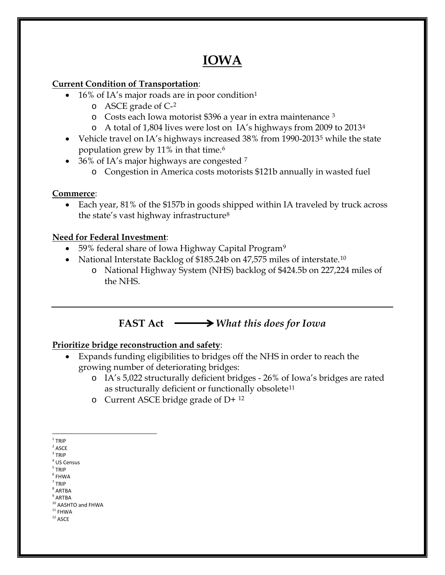# **IOWA**

### **Current Condition of Transportation**:

- [1](#page-0-0)6% of IA's major roads are in poor condition<sup>1</sup>
	- o ASCE grade of C-[2](#page-0-1)
	- o Costs each Iowa motorist \$396 a year in extra maintenance [3](#page-0-2)
	- o A total of 1,804 lives were lost on IA's highways from 2009 to 2013[4](#page-0-3)
- Vehicle travel on IA's highways increased 38% from 1990-2013<sup>[5](#page-0-4)</sup> while the state population grew by 11% in that time.[6](#page-0-5)
- 36% of IA's major highways are congested  $7$ 
	- o Congestion in America costs motorists \$121b annually in wasted fuel

### **Commerce**:

• Each year, 81% of the \$157b in goods shipped within IA traveled by truck across the state's vast highway infrastructure[8](#page-0-7)

### **Need for Federal Investment**:

- 5[9](#page-0-8)% federal share of Iowa Highway Capital Program<sup>9</sup>
- National Interstate Backlog of \$185.24b on 47,575 miles of interstate.<sup>[10](#page-0-9)</sup>
	- o National Highway System (NHS) backlog of \$424.5b on 227,224 miles of the NHS.

## **FAST Act** *What this does for Iowa*

### **Prioritize bridge reconstruction and safety**:

- Expands funding eligibilities to bridges off the NHS in order to reach the growing number of deteriorating bridges:
	- o IA's 5,022 structurally deficient bridges 26% of Iowa's bridges are rated as structurally deficient or functionally obsolete<sup>[11](#page-0-10)</sup>
	- o Current ASCE bridge grade of  $D+12$  $D+12$

- <span id="page-0-4"></span><span id="page-0-3"></span><sup>5</sup> TRIP
- <span id="page-0-6"></span><span id="page-0-5"></span> $<sup>6</sup>$  FHWA</sup>  $<sup>7</sup>$  TRIP</sup>
- <sup>8</sup> ARTBA
- <span id="page-0-8"></span><span id="page-0-7"></span> $^9$  ARTBA
- <span id="page-0-9"></span> $10$  AASHTO and FHWA<br> $11$  FHWA
- <span id="page-0-11"></span><span id="page-0-10"></span> $^{\mathrm{12}}$  ASCE
- 

 $1$  TRIP

<span id="page-0-1"></span><span id="page-0-0"></span> $2$  ASCE

<span id="page-0-2"></span> $3$  TRIP

<sup>4</sup> US Census